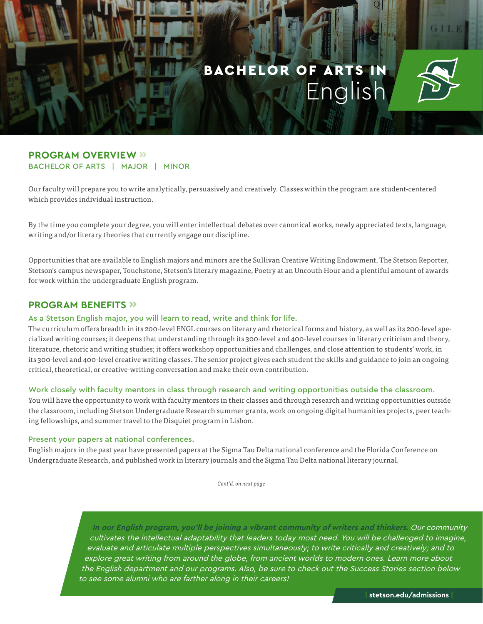

## **PROGRAM OVERVIEW »** BACHELOR OF ARTS | MAJOR | MINOR

Our faculty will prepare you to write analytically, persuasively and creatively. Classes within the program are student-centered which provides individual instruction.

By the time you complete your degree, you will enter intellectual debates over canonical works, newly appreciated texts, language, writing and/or literary theories that currently engage our discipline.

Opportunities that are available to English majors and minors are the Sullivan Creative Writing Endowment, The Stetson Reporter, Stetson's campus newspaper, Touchstone, Stetson's literary magazine, Poetry at an Uncouth Hour and a plentiful amount of awards for work within the undergraduate English program.

## **PROGRAM BENEFITS »**

#### As a Stetson English major, you will learn to read, write and think for life.

The curriculum offers breadth in its 200-level ENGL courses on literary and rhetorical forms and history, as well as its 200-level specialized writing courses; it deepens that understanding through its 300-level and 400-level courses in literary criticism and theory, literature, rhetoric and writing studies; it offers workshop opportunities and challenges, and close attention to students' work, in its 300-level and 400-level creative writing classes. The senior project gives each student the skills and guidance to join an ongoing critical, theoretical, or creative-writing conversation and make their own contribution.

#### Work closely with faculty mentors in class through research and writing opportunities outside the classroom.

You will have the opportunity to work with faculty mentors in their classes and through research and writing opportunities outside the classroom, including Stetson Undergraduate Research summer grants, work on ongoing digital humanities projects, peer teaching fellowships, and summer travel to the Disquiet program in Lisbon.

#### Present your papers at national conferences.

English majors in the past year have presented papers at the Sigma Tau Delta national conference and the Florida Conference on Undergraduate Research, and published work in literary journals and the Sigma Tau Delta national literary journal.

*Cont'd. on next page*

**In our English program, you'll be joining a vibrant community of writers and thinkers.** Our community cultivates the intellectual adaptability that leaders today most need. You will be challenged to imagine, evaluate and articulate multiple perspectives simultaneously; to write critically and creatively; and to explore great writing from around the globe, from ancient worlds to modern ones. Learn more about the English department and our programs. Also, be sure to check out the Success Stories section below to see some alumni who are farther along in their careers!